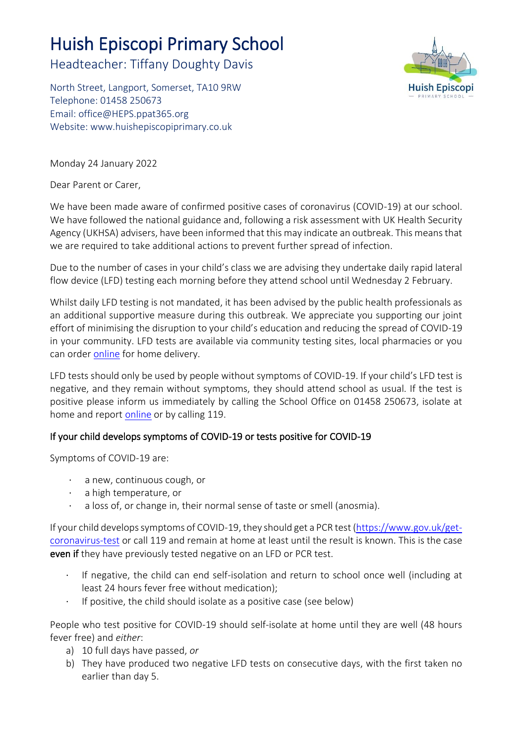# Huish Episcopi Primary School

Headteacher: Tiffany Doughty Davis

North Street, Langport, Somerset, TA10 9RW Telephone: 01458 250673 Email: [office@HEPS.ppat365.org](mailto:office@HEPS.ppat365.org) Website: [www.huishepiscopiprimary.co.uk](http://www.huishepiscopiprimary.co.uk/)



Monday 24 January 2022

Dear Parent or Carer,

We have been made aware of confirmed positive cases of coronavirus (COVID-19) at our school. We have followed the national guidance and, following a risk assessment with UK Health Security Agency (UKHSA) advisers, have been informed that this may indicate an outbreak. This means that we are required to take additional actions to prevent further spread of infection.

Due to the number of cases in your child's class we are advising they undertake daily rapid lateral flow device (LFD) testing each morning before they attend school until Wednesday 2 February.

Whilst daily LFD testing is not mandated, it has been advised by the public health professionals as an additional supportive measure during this outbreak. We appreciate you supporting our joint effort of minimising the disruption to your child's education and reducing the spread of COVID-19 in your community. LFD tests are available via community testing sites, local pharmacies or you can order [online](https://www.gov.uk/order-coronavirus-rapid-lateral-flow-tests) for home delivery.

LFD tests should only be used by people without symptoms of COVID-19. If your child's LFD test is negative, and they remain without symptoms, they should attend school as usual. If the test is positive please inform us immediately by calling the School Office on 01458 250673, isolate at home and report [online](https://www.nhs.uk/conditions/coronavirus-covid-19/testing/test-results/report-a-rapid-lateral-flow-test-result/) or by calling 119.

# If your child develops symptoms of COVID-19 or tests positive for COVID-19

Symptoms of COVID-19 are:

- a new, continuous cough, or
- · a high temperature, or
- a loss of, or change in, their normal sense of taste or smell (anosmia).

If your child develops symptoms of COVID-19, they should get a PCR test [\(https://www.gov.uk/get](https://www.gov.uk/get-coronavirus-test)[coronavirus-test](https://www.gov.uk/get-coronavirus-test) or call 119 and remain at home at least until the result is known. This is the case even if they have previously tested negative on an LFD or PCR test.

- · If negative, the child can end self-isolation and return to school once well (including at least 24 hours fever free without medication);
- · If positive, the child should isolate as a positive case (see below)

People who test positive for COVID-19 should self-isolate at home until they are well (48 hours fever free) and *either*:

- a) 10 full days have passed, *or*
- b) They have produced two negative LFD tests on consecutive days, with the first taken no earlier than day 5.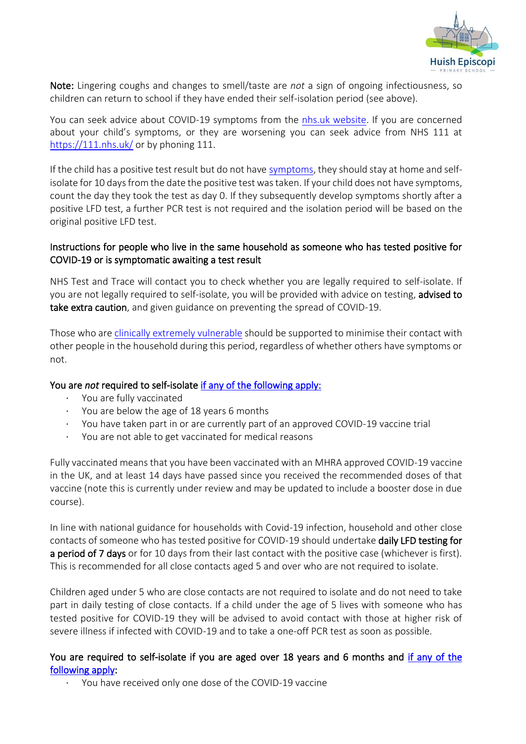

Note: Lingering coughs and changes to smell/taste are *not* a sign of ongoing infectiousness, so children can return to school if they have ended their self-isolation period (see above).

You can seek advice about COVID-19 symptoms from the [nhs.uk website.](https://www.nhs.uk/conditions/coronavirus-covid-19/check-if-you-have-coronavirus-symptoms/) If you are concerned about your child's symptoms, or they are worsening you can seek advice from NHS 111 at <https://111.nhs.uk/> or by phoning 111.

If the child has a positive test result but do not have [symptoms,](https://www.gov.uk/government/publications/covid-19-stay-at-home-guidance/stay-at-home-guidance-for-households-with-possible-coronavirus-covid-19-infection#symptoms) they should stay at home and selfisolate for 10 days from the date the positive test was taken. If your child does not have symptoms, count the day they took the test as day 0. If they subsequently develop symptoms shortly after a positive LFD test, a further PCR test is not required and the isolation period will be based on the original positive LFD test.

## Instructions for people who live in the same household as someone who has tested positive for COVID-19 or is symptomatic awaiting a test result

NHS Test and Trace will contact you to check whether you are legally required to self-isolate. If you are not legally required to self-isolate, you will be provided with advice on testing, advised to take extra caution, and given guidance on preventing the spread of COVID-19.

Those who ar[e clinically extremely vulnerable](https://www.gov.uk/government/publications/guidance-on-shielding-and-protecting-extremely-vulnerable-persons-from-covid-19/guidance-on-shielding-and-protecting-extremely-vulnerable-persons-from-covid-19) should be supported to minimise their contact with other people in the household during this period, regardless of whether others have symptoms or not.

## You are *not* required to self-isolate [if any of the following apply:](https://www.gov.uk/government/publications/covid-19-stay-at-home-guidance/stay-at-home-guidance-for-households-with-possible-coronavirus-covid-19-infection#exempt)

- You are fully vaccinated
- You are below the age of 18 years 6 months
- · You have taken part in or are currently part of an approved COVID-19 vaccine trial
- · You are not able to get vaccinated for medical reasons

Fully vaccinated means that you have been vaccinated with an MHRA approved COVID-19 vaccine in the UK, and at least 14 days have passed since you received the recommended doses of that vaccine (note this is currently under review and may be updated to include a booster dose in due course).

In line with national guidance for households with Covid-19 infection, household and other close contacts of someone who has tested positive for COVID-19 should undertake daily LFD testing for a period of 7 days or for 10 days from their last contact with the positive case (whichever is first). This is recommended for all close contacts aged 5 and over who are not required to isolate.

Children aged under 5 who are close contacts are not required to isolate and do not need to take part in daily testing of close contacts. If a child under the age of 5 lives with someone who has tested positive for COVID-19 they will be advised to avoid contact with those at higher risk of severe illness if infected with COVID-19 and to take a one-off PCR test as soon as possible.

## You are required to self-isolate if you are aged over 18 years and 6 months and [if any of the](https://www.nhs.uk/conditions/coronavirus-covid-19/self-isolation-and-treatment/when-to-self-isolate-and-what-to-do/)  [following apply:](https://www.nhs.uk/conditions/coronavirus-covid-19/self-isolation-and-treatment/when-to-self-isolate-and-what-to-do/)

You have received only one dose of the COVID-19 vaccine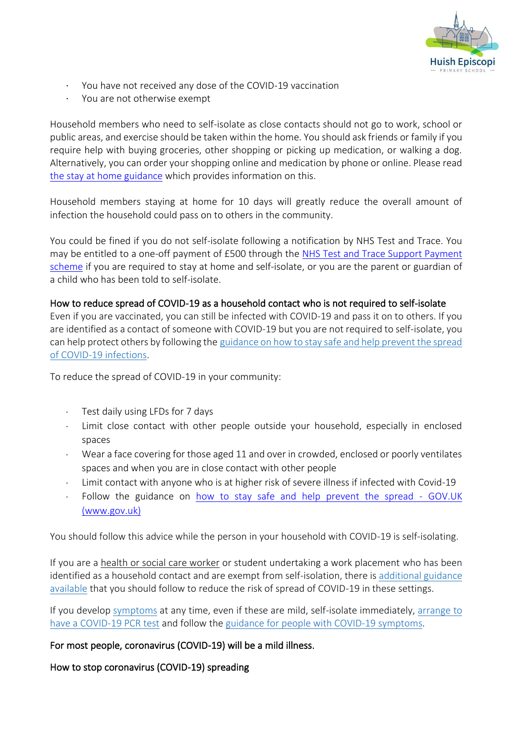

- · You have not received any dose of the COVID-19 vaccination
- · You are not otherwise exempt

Household members who need to self-isolate as close contacts should not go to work, school or public areas, and exercise should be taken within the home. You should ask friends or family if you require help with buying groceries, other shopping or picking up medication, or walking a dog. Alternatively, you can order your shopping online and medication by phone or online. Please read [the stay at home guidance](https://www.gov.uk/government/publications/covid-19-stay-at-home-guidance/stay-at-home-guidance-for-households-with-possible-coronavirus-covid-19-infection) which provides information on this.

Household members staying at home for 10 days will greatly reduce the overall amount of infection the household could pass on to others in the community.

You could be fined if you do not self-isolate following a notification by NHS Test and Trace. You may be entitled to a one-off payment of £500 through the [NHS Test and Trace Support Payment](https://www.gov.uk/government/publications/test-and-trace-support-payment-scheme-claiming-financial-support/claiming-financial-support-under-the-test-and-trace-support-payment-scheme)  [scheme](https://www.gov.uk/government/publications/test-and-trace-support-payment-scheme-claiming-financial-support/claiming-financial-support-under-the-test-and-trace-support-payment-scheme) if you are required to stay at home and self-isolate, or you are the parent or guardian of a child who has been told to self-isolate.

#### How to reduce spread of COVID-19 as a household contact who is not required to self-isolate

Even if you are vaccinated, you can still be infected with COVID-19 and pass it on to others. If you are identified as a contact of someone with COVID-19 but you are not required to self-isolate, you can help protect others by following the [guidance](https://www.gov.uk/guidance/covid-19-coronavirus-restrictions-what-you-can-and-cannot-do#keeping-yourself-and-others-safe) on how to stay safe and help prevent the spread of COVID-19 infections.

To reduce the spread of COVID-19 in your community:

- · Test daily using LFDs for 7 days
- Limit close contact with other people outside your household, especially in enclosed spaces
- Wear a face covering for those aged 11 and over in crowded, enclosed or poorly ventilates spaces and when you are in close contact with other people
- · Limit contact with anyone who is at higher risk of severe illness if infected with Covid-19
- Follow the guidance on how to stay safe and help prevent the spread GOV.UK (www.gov.uk)

You should follow this advice while the person in your household with COVID-19 is self-isolating.

If you are a health or social care worker or student undertaking a work placement who has been identified as a household contact and are exempt from self-isolation, there is [additional](https://www.gov.uk/government/publications/covid-19-management-of-exposed-healthcare-workers-and-patients-in-hospital-settings/covid-19-management-of-exposed-healthcare-workers-and-patients-in-hospital-settings) guidance [available](https://www.gov.uk/government/publications/covid-19-management-of-exposed-healthcare-workers-and-patients-in-hospital-settings/covid-19-management-of-exposed-healthcare-workers-and-patients-in-hospital-settings) that you should follow to reduce the risk of spread of COVID-19 in these settings.

If you develop [symptoms](https://www.gov.uk/government/publications/covid-19-stay-at-home-guidance/stay-at-home-guidance-for-households-with-possible-coronavirus-covid-19-infection#symptoms) at any time, even if these are mild, self-isolate immediately, [arrange](https://www.gov.uk/get-coronavirus-test) to have a [COVID-19](https://www.gov.uk/get-coronavirus-test) PCR test and follow the guidance for people with COVID-19 [symptoms.](https://www.gov.uk/government/publications/covid-19-stay-at-home-guidance/stay-at-home-guidance-for-households-with-possible-coronavirus-covid-19-infection#SymptomsPositiveTest)

## For most people, coronavirus (COVID-19) will be a mild illness.

How to stop coronavirus (COVID-19) spreading